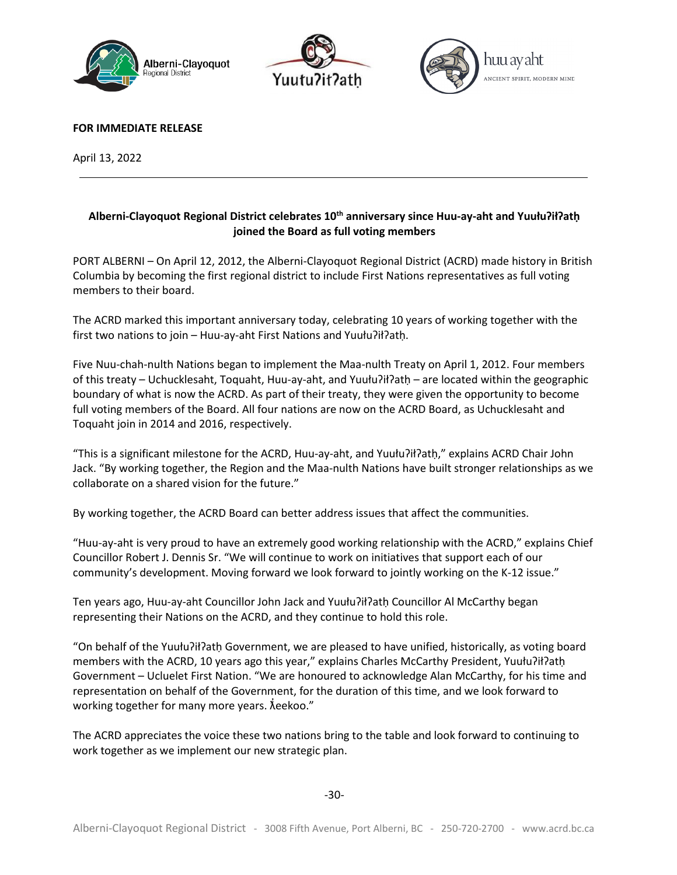





**FOR IMMEDIATE RELEASE** 

April 13, 2022

## **Alberni-Clayoquot Regional District celebrates 10th anniversary since Huu-ay-aht and Yuułuʔiłʔatḥ joined the Board as full voting members**

PORT ALBERNI – On April 12, 2012, the Alberni-Clayoquot Regional District (ACRD) made history in British Columbia by becoming the first regional district to include First Nations representatives as full voting members to their board.

The ACRD marked this important anniversary today, celebrating 10 years of working together with the first two nations to join – Huu-ay-aht First Nations and Yuułuʔiłʔatḥ.

Five Nuu-chah-nulth Nations began to implement the Maa-nulth Treaty on April 1, 2012. Four members of this treaty – Uchucklesaht, Toquaht, Huu-ay-aht, and Yuułuʔiłʔatḥ – are located within the geographic boundary of what is now the ACRD. As part of their treaty, they were given the opportunity to become full voting members of the Board. All four nations are now on the ACRD Board, as Uchucklesaht and Toquaht join in 2014 and 2016, respectively.

"This is a significant milestone for the ACRD, Huu-ay-aht, and Yuułuʔiłʔatḥ," explains ACRD Chair John Jack. "By working together, the Region and the Maa-nulth Nations have built stronger relationships as we collaborate on a shared vision for the future."

By working together, the ACRD Board can better address issues that affect the communities.

"Huu-ay-aht is very proud to have an extremely good working relationship with the ACRD," explains Chief Councillor Robert J. Dennis Sr. "We will continue to work on initiatives that support each of our community's development. Moving forward we look forward to jointly working on the K-12 issue."

Ten years ago, Huu-ay-aht Councillor John Jack and Yuułu?ił?atḥ Councillor Al McCarthy began representing their Nations on the ACRD, and they continue to hold this role.

"On behalf of the Yuułuʔiłʔatḥ Government, we are pleased to have unified, historically, as voting board members with the ACRD, 10 years ago this year," explains Charles McCarthy President, Yuułuʔiłʔatḥ Government – Ucluelet First Nation. "We are honoured to acknowledge Alan McCarthy, for his time and representation on behalf of the Government, for the duration of this time, and we look forward to working together for many more years.  $\check{\lambda}$ eekoo."

The ACRD appreciates the voice these two nations bring to the table and look forward to continuing to work together as we implement our new strategic plan.

-30-